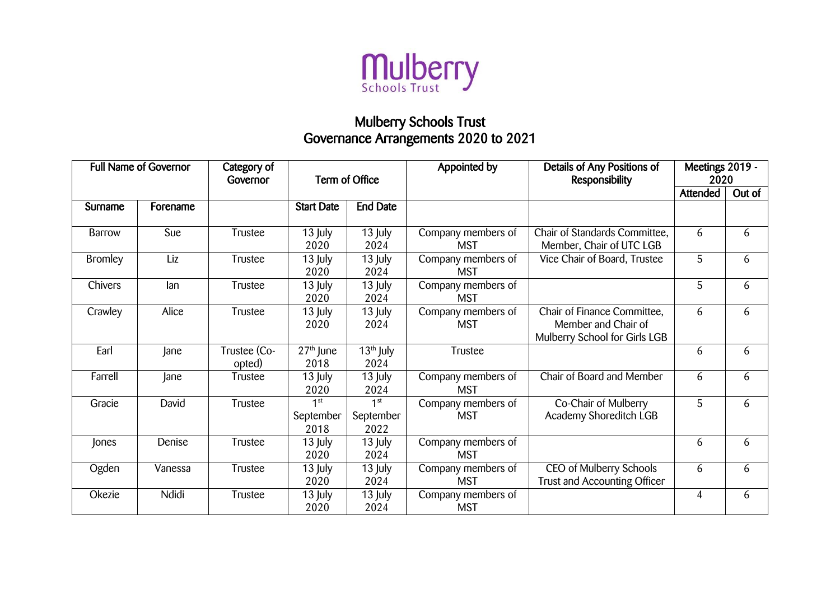

## Mulberry Schools Trust Governance Arrangements 2020 to 2021

| <b>Full Name of Governor</b> |          | Category of<br>Governor | Term of Office                           |                                      | Appointed by                     | Details of Any Positions of<br><b>Responsibility</b>                                | Meetings 2019 -<br>2020 |        |
|------------------------------|----------|-------------------------|------------------------------------------|--------------------------------------|----------------------------------|-------------------------------------------------------------------------------------|-------------------------|--------|
|                              |          |                         |                                          |                                      |                                  |                                                                                     | Attended                | Out of |
| Surname                      | Forename |                         | <b>Start Date</b>                        | <b>End Date</b>                      |                                  |                                                                                     |                         |        |
| Barrow                       | Sue      | Trustee                 | 13 July<br>2020                          | 13 July<br>2024                      | Company members of<br><b>MST</b> | Chair of Standards Committee,<br>Member, Chair of UTC LGB                           | 6                       | 6      |
| <b>Bromley</b>               | Liz      | Trustee                 | 13 July<br>2020                          | 13 July<br>2024                      | Company members of<br><b>MST</b> | Vice Chair of Board, Trustee                                                        | 5                       | 6      |
| Chivers                      | lan      | Trustee                 | 13 July<br>2020                          | 13 July<br>2024                      | Company members of<br><b>MST</b> |                                                                                     | 5                       | 6      |
| Crawley                      | Alice    | Trustee                 | 13 July<br>2020                          | 13 July<br>2024                      | Company members of<br><b>MST</b> | Chair of Finance Committee,<br>Member and Chair of<br>Mulberry School for Girls LGB | 6                       | 6      |
| Earl                         | Jane     | Trustee (Co-<br>opted)  | $\overline{2}7^{\text{th}}$ June<br>2018 | $\overline{13^{th}}$ July<br>2024    | Trustee                          |                                                                                     | 6                       | 6      |
| Farrell                      | Jane     | Trustee                 | 13 July<br>2020                          | 13 July<br>2024                      | Company members of<br><b>MST</b> | Chair of Board and Member                                                           | 6                       | 6      |
| Gracie                       | David    | Trustee                 | 1 <sup>st</sup><br>September<br>2018     | 1 <sup>st</sup><br>September<br>2022 | Company members of<br><b>MST</b> | Co-Chair of Mulberry<br>Academy Shoreditch LGB                                      | 5                       | 6      |
| Jones                        | Denise   | Trustee                 | 13 July<br>2020                          | 13 July<br>2024                      | Company members of<br><b>MST</b> |                                                                                     | 6                       | 6      |
| Ogden                        | Vanessa  | Trustee                 | 13 July<br>2020                          | 13 July<br>2024                      | Company members of<br><b>MST</b> | CEO of Mulberry Schools<br><b>Trust and Accounting Officer</b>                      | 6                       | 6      |
| Okezie                       | Ndidi    | Trustee                 | 13 July<br>2020                          | 13 July<br>2024                      | Company members of<br><b>MST</b> |                                                                                     | $\overline{4}$          | 6      |